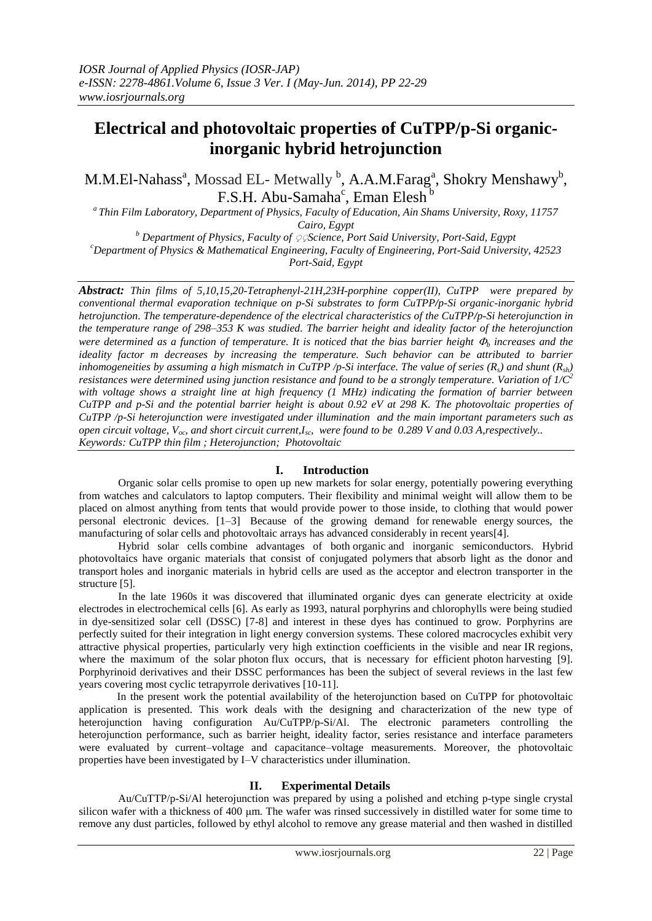# **Electrical and photovoltaic properties of CuTPP/p-Si organicinorganic hybrid hetrojunction**

M.M.El-Nahass<sup>a</sup>, Mossad EL- Metwally <sup>b</sup>, A.A.M.Farag<sup>a</sup>, Shokry Menshawy<sup>b</sup>, F.S.H. Abu-Samaha<sup>c</sup>, Eman Elesh<sup>b</sup>

*<sup>a</sup>Thin Film Laboratory, Department of Physics, Faculty of Education, Ain Shams University, Roxy, 11757 Cairo, Egypt*

*<sup>b</sup> Department of Physics, Faculty of* ٍ ٍ *Science, Port Said University, Port-Said, Egypt <sup>c</sup>Department of Physics & Mathematical Engineering, Faculty of Engineering, Port-Said University, 42523 Port-Said, Egypt*

*Abstract: Thin films of 5,10,15,20-Tetraphenyl-21H,23H-porphine copper(II), CuTPP were prepared by conventional thermal evaporation technique on p-Si substrates to form CuTPP/p-Si organic-inorganic hybrid hetrojunction. The temperature-dependence of the electrical characteristics of the CuTPP/p-Si heterojunction in the temperature range of 298–353 K was studied. The barrier height and ideality factor of the heterojunction were determined as a function of temperature. It is noticed that the bias barrier height*  $\Phi$  *increases and the ideality factor m decreases by increasing the temperature. Such behavior can be attributed to barrier inhomogeneities by assuming a high mismatch in CuTPP /p-Si interface. The value of series (Rs) and shunt (Rsh) resistances were determined using junction resistance and found to be a strongly temperature. Variation of 1/C<sup>2</sup>* with voltage shows a straight line at high frequency (1<sup>*MHz)* indicating the formation of barrier between</sup> *CuTPP and p-Si and the potential barrier height is about 0.92 eV at 298 K. The photovoltaic properties of CuTPP /p-Si heterojunction were investigated under illumination and the main important parameters such as open circuit voltage, Voc, and short circuit current,Isc, were found to be 0.289 V and 0.03 A,respectively.. Keywords: CuTPP thin film ; Heterojunction; Photovoltaic*

# **I. Introduction**

Organic solar cells promise to open up new markets for solar energy, potentially powering everything from watches and calculators to laptop computers. Their flexibility and minimal weight will allow them to be placed on almost anything from tents that would provide power to those inside, to clothing that would power personal electronic devices. [1–3] Because of the growing demand for [renewable energy](http://en.wikipedia.org/wiki/Renewable_energy) sources, the manufacturing of solar cells and [photovoltaic arrays](http://en.wikipedia.org/wiki/Photovoltaic_system) has advanced considerably in recent year[s\[4\].](http://en.wikipedia.org/wiki/Photovoltaic#cite_note-German_PV_market-11)

Hybrid solar cells combine advantages of both [organic](http://en.wikipedia.org/wiki/Organic_semiconductor) and inorganic [semiconductors.](http://en.wikipedia.org/wiki/Semiconductor) Hybrid photovoltaics have organic materials that consist of [conjugated polymers](http://en.wikipedia.org/wiki/Conjugated_polymers) that absorb light as the donor and transport [holes](http://en.wikipedia.org/wiki/Electron_hole) and inorganic materials in hybrid cells are used as the acceptor and [electron](http://en.wikipedia.org/wiki/Electron) transporter in the structure [5].

In the late 1960s it was discovered that illuminated organic dyes can generate electricity at oxide electrodes in electrochemical cells [\[6\].](http://en.wikipedia.org/wiki/Dye-sensitized_solar_cells#cite_note-8) As early as 1993, natural porphyrins and chlorophylls were being studied in dye-sensitized solar cell (DSSC) [7-8] and interest in these dyes has continued to grow. Porphyrins are perfectly suited for their integration in light energy conversion systems. These colored macrocycles exhibit very attractive physical properties, particularly very high extinction coefficients in the visible and near IR regions, where the maximum of the solar photon flux occurs, that is necessary for efficient photon harvesting [9]. Porphyrinoid derivatives and their DSSC performances has been the subject of several reviews in the last few years covering most cyclic tetrapyrrole derivatives [10-11].

 In the present work the potential availability of the heterojunction based on CuTPP for photovoltaic application is presented. This work deals with the designing and characterization of the new type of heterojunction having configuration Au/CuTPP/p-Si/Al. The electronic parameters controlling the heterojunction performance, such as barrier height, ideality factor, series resistance and interface parameters were evaluated by current–voltage and capacitance–voltage measurements. Moreover, the photovoltaic properties have been investigated by I–V characteristics under illumination.

# **II. Experimental Details**

Au/CuTTP/p-Si/Al heterojunction was prepared by using a polished and etching p-type single crystal silicon wafer with a thickness of 400 μm. The wafer was rinsed successively in distilled water for some time to remove any dust particles, followed by ethyl alcohol to remove any grease material and then washed in distilled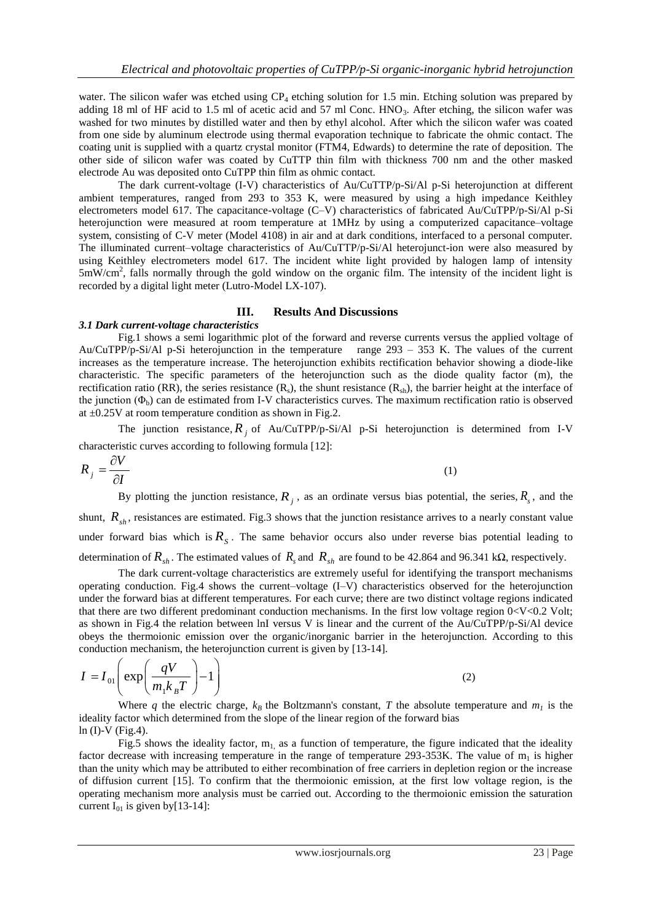water. The silicon wafer was etched using  $CP_4$  etching solution for 1.5 min. Etching solution was prepared by adding 18 ml of HF acid to 1.5 ml of acetic acid and 57 ml Conc. HNO<sub>3</sub>. After etching, the silicon wafer was washed for two minutes by distilled water and then by ethyl alcohol. After which the silicon wafer was coated from one side by aluminum electrode using thermal evaporation technique to fabricate the ohmic contact. The coating unit is supplied with a quartz crystal monitor (FTM4, Edwards) to determine the rate of deposition. The other side of silicon wafer was coated by CuTTP thin film with thickness 700 nm and the other masked electrode Au was deposited onto CuTPP thin film as ohmic contact.

The dark current-voltage (I-V) characteristics of Au/CuTTP/p-Si/Al p-Si heterojunction at different ambient temperatures, ranged from 293 to 353 K, were measured by using a high impedance Keithley electrometers model 617. The capacitance-voltage (C–V) characteristics of fabricated Au/CuTPP/p-Si/Al p-Si heterojunction were measured at room temperature at 1MHz by using a computerized capacitance–voltage system, consisting of C-V meter (Model 4108) in air and at dark conditions, interfaced to a personal computer. The illuminated current–voltage characteristics of Au/CuTTP/p-Si/Al heterojunct-ion were also measured by using Keithley electrometers model 617. The incident white light provided by halogen lamp of intensity 5mW/cm<sup>2</sup> , falls normally through the gold window on the organic film. The intensity of the incident light is recorded by a digital light meter (Lutro-Model LX-107).

## **III. Results And Discussions**

## *3.1 Dark current-voltage characteristics*

Fig.1 shows a semi logarithmic plot of the forward and reverse currents versus the applied voltage of Au/CuTPP/p-Si/Al p-Si heterojunction in the temperature range 293 – 353 K. The values of the current increases as the temperature increase. The heterojunction exhibits rectification behavior showing a diode-like characteristic. The specific parameters of the heterojunction such as the diode quality factor (m), the rectification ratio (RR), the series resistance (R<sub>s</sub>), the shunt resistance (R<sub>sh</sub>), the barrier height at the interface of the junction  $(\Phi_b)$  can de estimated from I-V characteristics curves. The maximum rectification ratio is observed at  $\pm 0.25V$  at room temperature condition as shown in Fig.2.

The junction resistance,  $R_j$  of Au/CuTPP/p-Si/Al p-Si heterojunction is determined from I-V characteristic curves according to following formula [12]:

$$
R_j = \frac{\partial V}{\partial I} \tag{1}
$$

By plotting the junction resistance,  $R_j$ , as an ordinate versus bias potential, the series,  $R_s$ , and the shunt,  $R_{sh}$ , resistances are estimated. Fig.3 shows that the junction resistance arrives to a nearly constant value under forward bias which is  $R<sub>S</sub>$ . The same behavior occurs also under reverse bias potential leading to determination of  $R_{sh}$ . The estimated values of  $R_{sh}$  and  $R_{sh}$  are found to be 42.864 and 96.341 kΩ, respectively.

The dark current-voltage characteristics are extremely useful for identifying the transport mechanisms operating conduction. Fig.4 shows the current–voltage (I–V) characteristics observed for the heterojunction under the forward bias at different temperatures. For each curve; there are two distinct voltage regions indicated that there are two different predominant conduction mechanisms. In the first low voltage region 0<V<0.2 Volt; as shown in Fig.4 the relation between lnI versus V is linear and the current of the Au/CuTPP/p-Si/Al device obeys the thermoionic emission over the organic/inorganic barrier in the heterojunction. According to this

conduction mechanism, the heterojunction current is given by [13-14].  
\n
$$
I = I_{01} \left( \exp\left(\frac{qV}{m_1 k_B T}\right) - 1 \right)
$$
\n(2)

Where q the electric charge,  $k_B$  the Boltzmann's constant, T the absolute temperature and  $m_I$  is the ideality factor which determined from the slope of the linear region of the forward bias  $ln (I)-V$  (Fig.4).

Fig.5 shows the ideality factor,  $m<sub>1</sub>$  as a function of temperature, the figure indicated that the ideality factor decrease with increasing temperature in the range of temperature 293-353K. The value of  $m_1$  is higher than the unity which may be attributed to either recombination of free carriers in depletion region or the increase of diffusion current [15]. To confirm that the thermoionic emission, at the first low voltage region, is the operating mechanism more analysis must be carried out. According to the thermoionic emission the saturation current  $I_{01}$  is given by[13-14]: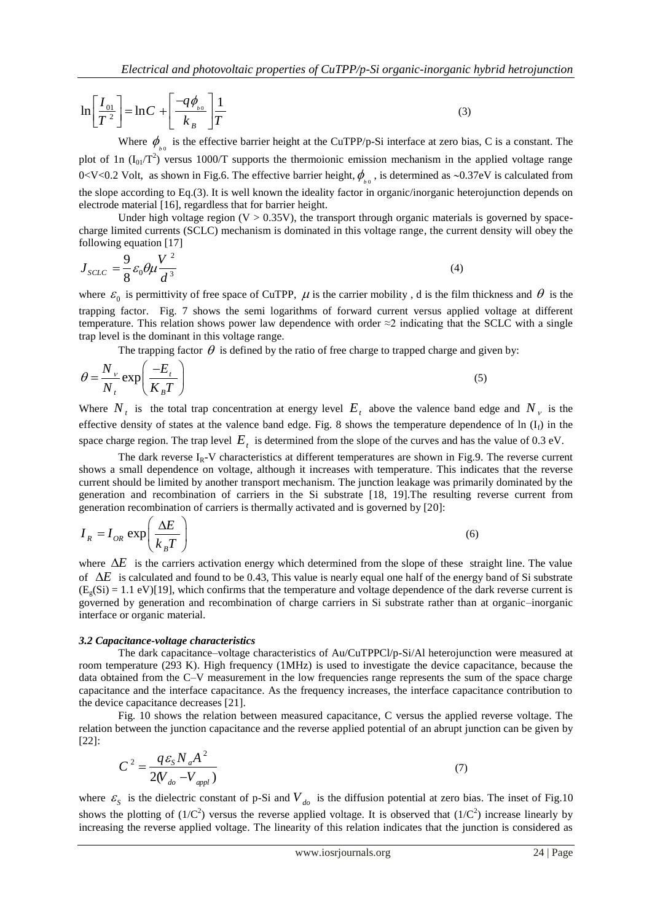$$
\ln\left[\frac{I_{01}}{T^2}\right] = \ln C + \left[\frac{-q\phi_{b0}}{k_B}\right]\frac{1}{T}
$$
 (3)

Where  $\phi_{b}$  is the effective barrier height at the CuTPP/p-Si interface at zero bias, C is a constant. The plot of 1n  $(I_{01}/T^2)$  versus 1000/T supports the thermoionic emission mechanism in the applied voltage range 0<V<0.2 Volt, as shown in Fig.6. The effective barrier height,  $\phi_{b}$ , is determined as ~0.37eV is calculated from the slope according to Eq.(3). It is well known the ideality factor in organic/inorganic heterojunction depends on electrode material [16], regardless that for barrier height.

Under high voltage region  $(V > 0.35V)$ , the transport through organic materials is governed by spacecharge limited currents (SCLC) mechanism is dominated in this voltage range, the current density will obey the following equation [17]

$$
J_{SCLC} = \frac{9}{8} \varepsilon_0 \theta \mu \frac{V^2}{d^3}
$$
 (4)

where  $\varepsilon_0$  is permittivity of free space of CuTPP,  $\mu$  is the carrier mobility, d is the film thickness and  $\theta$  is the trapping factor. Fig. 7 shows the semi logarithms of forward current versus applied voltage at different temperature. This relation shows power law dependence with order  $\approx$ 2 indicating that the SCLC with a single trap level is the dominant in this voltage range.

The trapping factor  $\theta$  is defined by the ratio of free charge to trapped charge and given by:

$$
\theta = \frac{N_v}{N_t} \exp\left(\frac{-E_t}{K_B T}\right) \tag{5}
$$

Where  $N_t$  is the total trap concentration at energy level  $E_t$  above the valence band edge and  $N_t$  is the effective density of states at the valence band edge. Fig. 8 shows the temperature dependence of  $\ln (I_f)$  in the space charge region. The trap level  $E<sub>t</sub>$  is determined from the slope of the curves and has the value of 0.3 eV.

The dark reverse  $I_R$ -V characteristics at different temperatures are shown in Fig.9. The reverse current shows a small dependence on voltage, although it increases with temperature. This indicates that the reverse current should be limited by another transport mechanism. The junction leakage was primarily dominated by the generation and recombination of carriers in the Si substrate [18, 19].The resulting reverse current from generation recombination of carriers is thermally activated and is governed by [20]:

$$
I_R = I_{OR} \exp\left(\frac{\Delta E}{k_B T}\right) \tag{6}
$$

where  $\Delta E$  is the carriers activation energy which determined from the slope of these straight line. The value of  $\Delta E$  is calculated and found to be 0.43, This value is nearly equal one half of the energy band of Si substrate  $(E_g(Si) = 1.1 \text{ eV})$ [19], which confirms that the temperature and voltage dependence of the dark reverse current is governed by generation and recombination of charge carriers in Si substrate rather than at organic–inorganic interface or organic material.

## *3.2 Capacitance-voltage characteristics*

The dark capacitance–voltage characteristics of Au/CuTPPCl/p-Si/Al heterojunction were measured at room temperature (293 K). High frequency (1MHz) is used to investigate the device capacitance, because the data obtained from the C–V measurement in the low frequencies range represents the sum of the space charge capacitance and the interface capacitance. As the frequency increases, the interface capacitance contribution to the device capacitance decreases [21].

Fig. 10 shows the relation between measured capacitance, C versus the applied reverse voltage. The relation between the junction capacitance and the reverse applied potential of an abrupt junction can be given by [22]:

$$
C^2 = \frac{q \varepsilon_s N_a A^2}{2(V_{do} - V_{appl})}
$$
\n<sup>(7)</sup>

where  $\varepsilon_s$  is the dielectric constant of p-Si and  $V_{d0}$  is the diffusion potential at zero bias. The inset of Fig.10 shows the plotting of  $(1/C^2)$  versus the reverse applied voltage. It is observed that  $(1/C^2)$  increase linearly by increasing the reverse applied voltage. The linearity of this relation indicates that the junction is considered as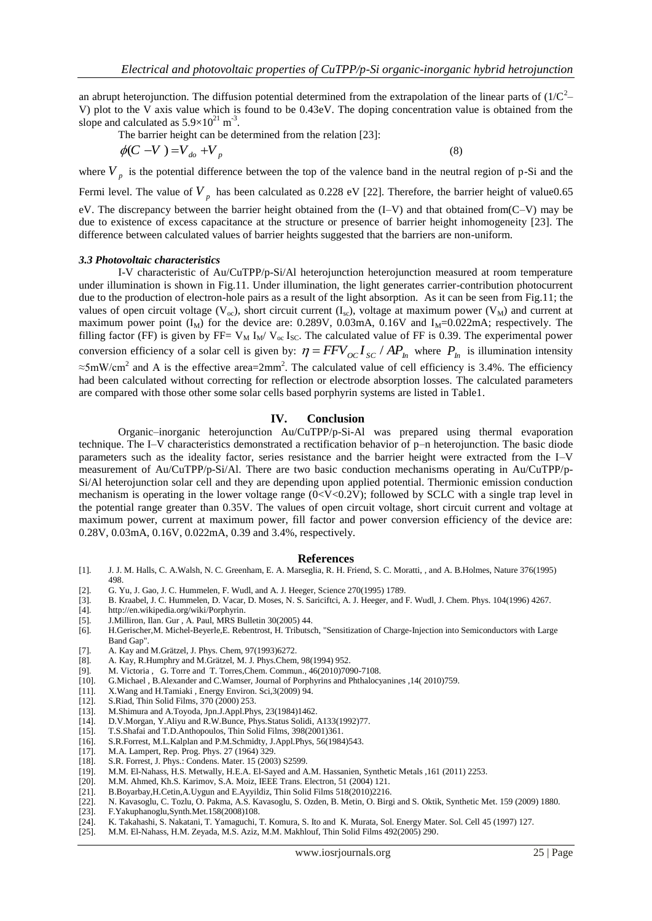an abrupt heterojunction. The diffusion potential determined from the extrapolation of the linear parts of  $(1/C^2-$ V) plot to the V axis value which is found to be 0.43eV. The doping concentration value is obtained from the slope and calculated as  $5.9 \times 10^{21}$  m<sup>-3</sup>.

The barrier height can be determined from the relation [23]:  

$$
\phi(C - V) = V_{do} + V_{p}
$$
 (8)

where  $V_p$  is the potential difference between the top of the valence band in the neutral region of p-Si and the Fermi level. The value of  $V_p$  has been calculated as 0.228 eV [22]. Therefore, the barrier height of value0.65 eV. The discrepancy between the barrier height obtained from the (I–V) and that obtained from(C–V) may be due to existence of excess capacitance at the structure or presence of barrier height inhomogeneity [23]. The difference between calculated values of barrier heights suggested that the barriers are non-uniform.

### *3.3 Photovoltaic characteristics*

I-V characteristic of Au/CuTPP/p-Si/Al heterojunction heterojunction measured at room temperature under illumination is shown in Fig.11. Under illumination, the light generates carrier-contribution photocurrent due to the production of electron-hole pairs as a result of the light absorption. As it can be seen from Fig.11; the values of open circuit voltage ( $V_{oc}$ ), short circuit current (I<sub>sc</sub>), voltage at maximum power ( $V_M$ ) and current at maximum power point  $(I_M)$  for the device are: 0.289V, 0.03mA, 0.16V and  $I_M$ =0.022mA; respectively. The filling factor (FF) is given by FF=  $V_M I_M / V_{oc} I_{SC}$ . The calculated value of FF is 0.39. The experimental power conversion efficiency of a solar cell is given by:  $\eta = FF V_{OC} I_{SC} / AP_h$  where  $P_h$  is illumination intensity  $\approx$ 5mW/cm<sup>2</sup> and A is the effective area=2mm<sup>2</sup>. The calculated value of cell efficiency is 3.4%. The efficiency had been calculated without correcting for reflection or electrode absorption losses. The calculated parameters are compared with those other some solar cells based porphyrin systems are listed in Table1.

## **IV. Conclusion**

Organic–inorganic heterojunction Au/CuTPP/p-Si-Al was prepared using thermal evaporation technique. The I–V characteristics demonstrated a rectification behavior of p–n heterojunction. The basic diode parameters such as the ideality factor, series resistance and the barrier height were extracted from the I–V measurement of Au/CuTPP/p-Si/Al. There are two basic conduction mechanisms operating in Au/CuTPP/p-Si/Al heterojunction solar cell and they are depending upon applied potential. Thermionic emission conduction mechanism is operating in the lower voltage range (0<V<0.2V); followed by SCLC with a single trap level in the potential range greater than 0.35V. The values of open circuit voltage, short circuit current and voltage at maximum power, current at maximum power, fill factor and power conversion efficiency of the device are: 0.28V, 0.03mA, 0.16V, 0.022mA, 0.39 and 3.4%, respectively.

#### **References**

- [1]. J. J. M. Halls, C. A.Walsh, N. C. Greenham, E. A. Marseglia, R. H. Friend, S. C. Moratti, , and A. B.Holmes, Nature 376(1995) 498.
- [2]. G. Yu, J. Gao, J. C. Hummelen, F. Wudl, and A. J. Heeger, Science 270(1995) 1789.
- [3]. B. Kraabel, J. C. Hummelen, D. Vacar, D. Moses, N. S. Sariciftci, A. J. Heeger, and F. Wudl, J. Chem. Phys. 104(1996) 4267.
- [4]. [http://en.wikipedia.org/wiki/Porphyrin.](http://en.wikipedia.org/wiki/Porphyrin)
- [5]. J.Milliron, Ilan. Gur , A. Paul, MRS Bulletin 30(2005) 44.
- [6]. H.Gerischer,M. Michel-Beyerle,E. Rebentrost, H. Tributsch, "Sensitization of Charge-Injection into Semiconductors with Large Band Gap".
- 
- [7]. A. Kay and M.Grätzel, J. Phys. Chem, 97(1993)6272.<br>[8]. A. Kay, R.Humphry and M.Grätzel, M. J. Phys.Chem. A. Kay, R.Humphry and M.Grätzel, M. J. Phys.Chem, 98(1994) 952.
- [9]. [M. Victoria ,](http://pubs.rsc.org/en/results?searchtext=Author%3AM.%20Victoria%20Mart%C3%ADnez-D%C3%ADaz) [G. Torre](http://pubs.rsc.org/en/results?searchtext=Author%3AGema%20de%20la%20Torre) and [T. Torres,](http://pubs.rsc.org/en/results?searchtext=Author%3ATom%C3%A1s%20Torres)Chem. Commun., 46(2010)7090-7108.
- [10]. G.Michael , B.Alexander and C.Wamser, [Journal of Porphyrins and Phthalocyanines](http://en.wikipedia.org/wiki/Journal_of_Porphyrins_and_Phthalocyanines) ,14( 2010)759.
- [11]. X.Wang and H.Tamiaki , Energy Environ. Sci,3(2009) 94. [12]. S.Riad, Thin Solid Films, 370 (2000) 253.
- S.Riad, Thin Solid Films, 370 (2000) 253.
- [13]. M.Shimura and A.Toyoda, Jpn.J.Appl.Phys, 23(1984)1462.
- [14]. D.V.Morgan, Y.Aliyu and R.W.Bunce, Phys.Status Solidi, A133(1992)77.
- [15]. T.S.Shafai and T.D.Anthopoulos, Thin Solid Films, 398(2001)361.
- [16]. S.R.Forrest, M.L.Kalplan and P.M.Schmidty, J.Appl.Phys, 56(1984)543.<br>[17]. M.A. Lampert, Rep. Prog. Phys. 27 (1964) 329.
- M.A. Lampert, Rep. Prog. Phys. 27 (1964) 329.
- [18]. S.R. Forrest, J. Phys.: Condens. Mater. 15 (2003) S2599.
- M.M. El-Nahass, H.S. Metwally, H.E.A. El-Sayed and A.M. Hassanien, Synthetic Metals ,161 (2011) 2253.
- [20]. M.M. Ahmed, Kh.S. Karimov, S.A. Moiz, IEEE Trans. Electron, 51 (2004) 121.
- [21]. B.Boyarbay,H.Cetin,A.Uygun and E.Ayyildiz, Thin Solid Films 518(2010)2216.
- [22]. N. Kavasoglu, C. Tozlu, O. Pakma, A.S. Kavasoglu, S. Ozden, B. Metin, O. Birgi and S. Oktik, Synthetic Met. 159 (2009) 1880.
- [23]. F.Yakuphanoglu,Synth.Met.158(2008)108.
- [24]. K. Takahashi, S. Nakatani, T. Yamaguchi, T. Komura, S. Ito and K. Murata, Sol. Energy Mater. Sol. Cell 45 (1997) 127.
- [25]. M.M. El-Nahass, H.M. Zeyada, M.S. Aziz, M.M. Makhlouf, Thin Solid Films 492(2005) 290.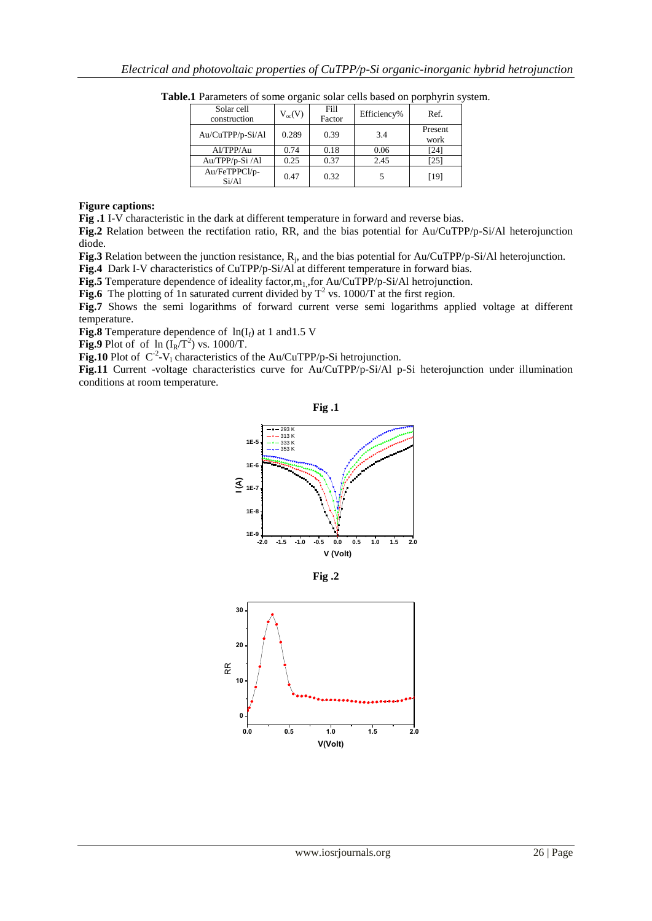| Solar cell<br>construction | $V_{oc}(V)$ | Fill<br>Factor | Efficiency% | Ref.            |
|----------------------------|-------------|----------------|-------------|-----------------|
| Au/CuTPP/p-Si/Al           | 0.289       | 0.39           | 3.4         | Present<br>work |
| Al/TPP/Au                  | 0.74        | 0.18           | 0.06        | [24]            |
| Au/TPP/p-Si/Al             | 0.25        | 0.37           | 2.45        | [25]            |
| Au/FeTPPCl/p-<br>Si/Al     | 0.47        | 0.32           |             | [19]            |

**Table.1** Parameters of some organic solar cells based on porphyrin system.

## **Figure captions:**

**Fig .1** I-V characteristic in the dark at different temperature in forward and reverse bias.

**Fig.2** Relation between the rectifation ratio, RR, and the bias potential for Au/CuTPP/p-Si/Al heterojunction diode.

Fig.3 Relation between the junction resistance, R<sub>j</sub>, and the bias potential for Au/CuTPP/p-Si/Al heterojunction.

**Fig.4** Dark I-V characteristics of CuTPP/p-Si/Al at different temperature in forward bias.

**Fig.5** Temperature dependence of ideality factor, $m_1$ , for Au/CuTPP/p-Si/Al hetrojunction.

**Fig.6** The plotting of 1n saturated current divided by  $T^2$  vs. 1000/T at the first region.

**Fig.7** Shows the semi logarithms of forward current verse semi logarithms applied voltage at different temperature.

**Fig.8** Temperature dependence of  $ln(I_f)$  at 1 and 1.5 V

**Fig.9** Plot of of  $\ln (\text{I}_{\text{R}}/\text{T}^2)$  vs. 1000/T.

**Fig.10** Plot of  $C^2$ -V<sub>l</sub> characteristics of the Au/CuTPP/p-Si hetrojunction.

**Fig.11** Current -voltage characteristics curve for Au/CuTPP/p-Si/Al p-Si heterojunction under illumination conditions at room temperature.





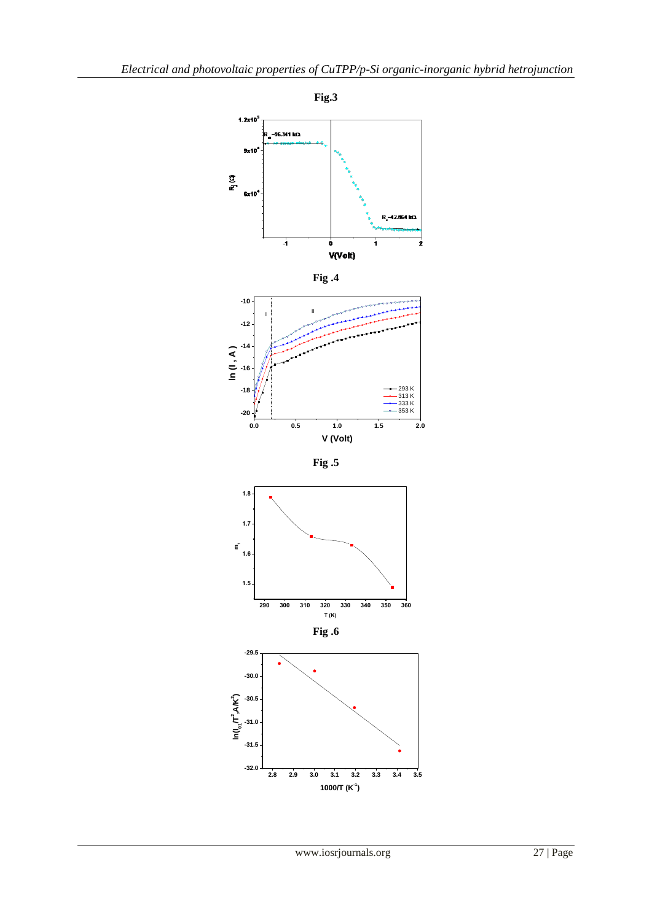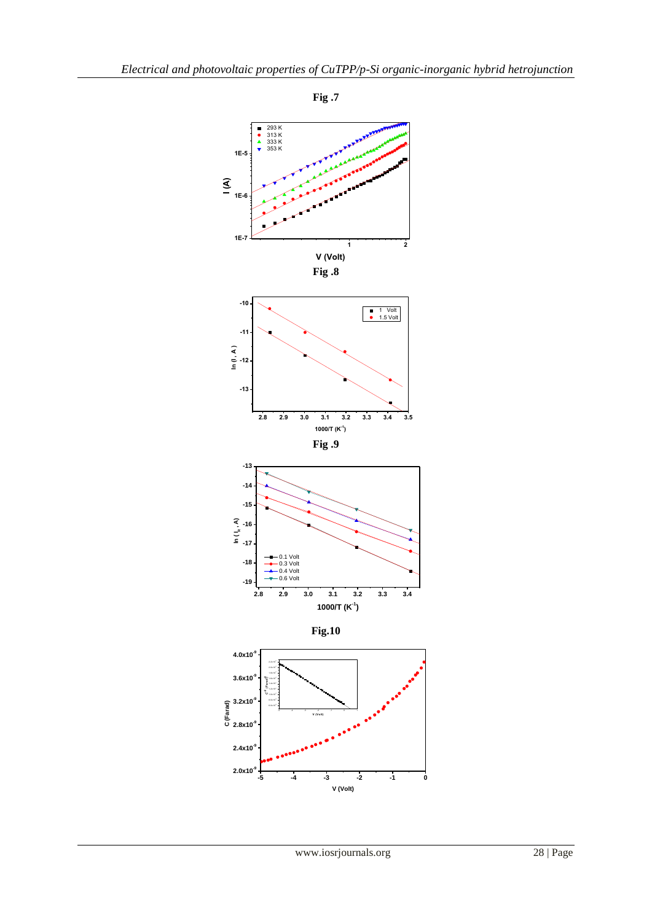